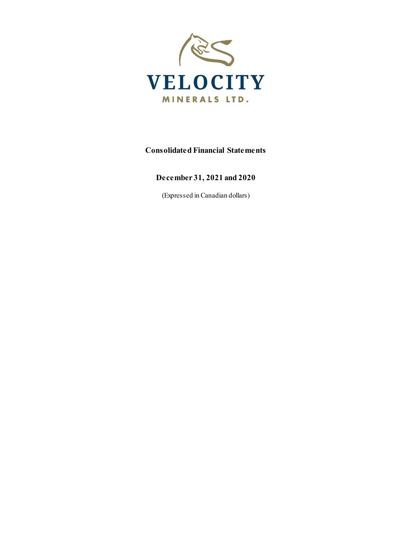

## **Consolidated Financial Statements**

## **December 31, 2021 and 2020**

(Expressed in Canadian dollars)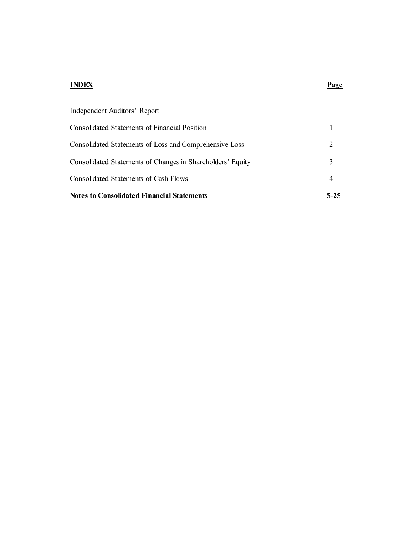## **INDEX Page**

| <b>Notes to Consolidated Financial Statements</b>          | $5 - 25$ |
|------------------------------------------------------------|----------|
| <b>Consolidated Statements of Cash Flows</b>               | 4        |
| Consolidated Statements of Changes in Shareholders' Equity | 3        |
| Consolidated Statements of Loss and Comprehensive Loss     | 2        |
| Consolidated Statements of Financial Position              |          |
| Independent Auditors' Report                               |          |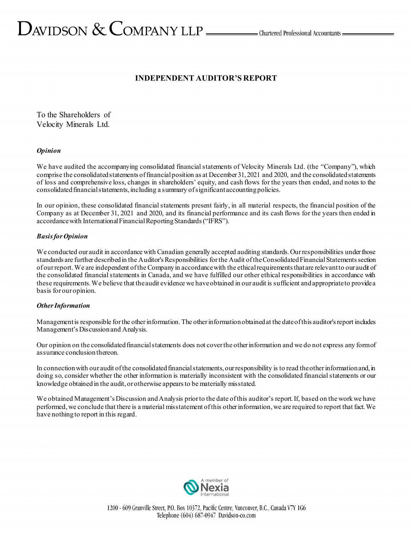# $D_{\text{AVIDSON}} \&$  COMPANY LLP  $\_\_\_\_\$ Chartered Professional Accountants  $\_\_\_\$

## **INDEPENDENT AUDITOR'S REPORT**

To the Shareholders of Velocity Minerals Ltd.

## *Opinion*

We have audited the accompanying consolidated financial statements of Velocity Minerals Ltd. (the "Company"), which comprise the consolidated statements of financial position as at December 31, 2021 and 2020, and the consolidated statements of loss and comprehensive loss, changes in shareholders' equity, and cash flows for the years then ended, and notes to the consolidated financial statements, including a summary of significant accounting policies.

In our opinion, these consolidated financial statements present fairly, in all material respects, the financial position of the Company as at December 31, 2021 and 2020, and its financial performance and its cash flows for the years then ended in accordance with International Financial Reporting Standards("IFRS").

## *Basis for Opinion*

We conducted our audit in accordance with Canadian generally accepted auditing standards. Our responsibilities under those standards are further described in the Auditor's Responsibilities for the Audit of the Consolidated Financial Statements section of our report. We are independent of the Company in accordance with the ethical requirements that are relevant to our audit of the consolidated financial statements in Canada, and we have fulfilled our other ethical responsibilities in accordance with these requirements. We believe that the audit evidence we have obtained in our audit is sufficient and appropriate to provide a basis for our opinion.

## *Other Information*

Management is responsible for the other information. The other information obtained at the date of this auditor's report includes Management's Discussion and Analysis.

Our opinion on the consolidated financial statements does not cover the other information and we do not express any form of assurance conclusion thereon.

In connection with our audit of the consolidated financial statements, our responsibility is to read the other information and, in doing so, consider whether the other information is materially inconsistent with the consolidated financial statements or our knowledge obtained in the audit, or otherwise appears to be materially misstated.

We obtained Management's Discussion and Analysis prior to the date of this auditor's report.If, based on the work we have performed, we conclude that there is a material misstatement of this other information, we are required to report that fact. We have nothing to report in this regard.

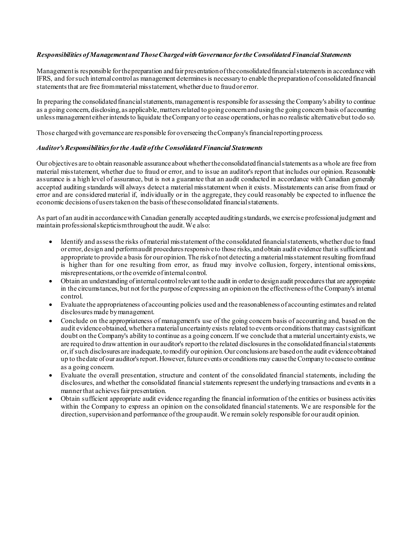## *Responsibilities of Management and Those Charged with Governance for the Consolidated Financial Statements*

Management is responsible for the preparation and fair presentation of the consolidated financial statements in accordance with IFRS, and for such internal control as management determines is necessary to enable the preparation of consolidated financial statements that are free from material misstatement, whether due to fraud or error.

In preparing the consolidated financial statements, management is responsible for assessing the Company's ability to continue as a going concern, disclosing, as applicable, matters related to going concern and using the going concern basis of accounting unless management either intends to liquidate the Company or to cease operations, or has no realistic alternative but to do so.

Those charged with governance are responsible for overseeing the Company's financial reporting process.

## *Auditor's Responsibilities for the Audit of the Consolidated Financial Statements*

Our objectives are to obtain reasonable assurance about whether the consolidated financial statements as a whole are free from material misstatement, whether due to fraud or error, and to issue an auditor's report that includes our opinion. Reasonable assurance is a high level of assurance, but is not a guarantee that an audit conducted in accordance with Canadian generally accepted auditing standards will always detect a material misstatement when it exists. Misstatements can arise from fraud or error and are considered material if, individually or in the aggregate, they could reasonably be expected to influence the economic decisions of users taken on the basis of these consolidated financial statements.

As part of an audit in accordance with Canadian generally accepted auditing standards, we exercise professional judgment and maintain professional skepticism throughout the audit. We also:

- Identify and assess the risks of material misstatement of the consolidated financial statements, whether due to fraud or error, design and perform audit procedures responsive to those risks, and obtain audit evidence that is sufficient and appropriate to provide a basis for our opinion. The risk of not detecting a material misstatement resulting from fraud is higher than for one resulting from error, as fraud may involve collusion, forgery, intentional omissions, misrepresentations, or the override of internal control.
- Obtain an understanding of internal control relevant to the audit in order to design audit procedures that are appropriate in the circumstances, but not for the purpose of expressing an opinion on the effectiveness of the Company's internal control.
- Evaluate the appropriateness of accounting policies used and the reasonableness of accounting estimates and related disclosures made by management.
- Conclude on the appropriateness of management's use of the going concern basis of accounting and, based on the audit evidence obtained,whether a material uncertainty exists related to events or conditions that may cast significant doubt on the Company's ability to continue as a going concern. If we conclude that a material uncertainty exists, we are required to draw attention in our auditor's report to the related disclosures in the consolidated financial statements or, if such disclosures are inadequate, to modify our opinion. Our conclusions are based on the audit evidence obtained up to the date of our auditor's report. However, futureevents or conditions may cause the Company to cease to continue as a going concern.
- Evaluate the overall presentation, structure and content of the consolidated financial statements, including the disclosures, and whether the consolidated financial statements represent the underlying transactions and events in a manner that achieves fair presentation.
- Obtain sufficient appropriate audit evidence regarding the financial information of the entities or business activities within the Company to express an opinion on the consolidated financial statements. We are responsible for the direction, supervision and performance of the group audit.We remain solely responsible for our audit opinion.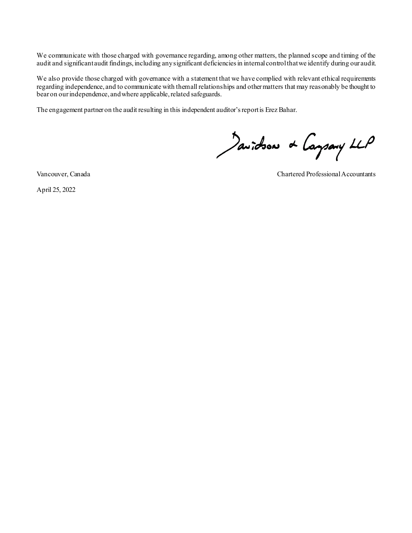We communicate with those charged with governance regarding, among other matters, the planned scope and timing of the audit and significant audit findings, including any significant deficiencies in internal control that we identify during our audit.

We also provide those charged with governance with a statement that we have complied with relevant ethical requirements regarding independence, and to communicate with them all relationships and other matters that may reasonably be thought to bear on our independence, and where applicable, related safeguards.

The engagement partner on the audit resulting in this independent auditor'sreport is Erez Bahar.

Javidson & Caysary LLP

April 25, 2022

Vancouver, Canada Chartered Professional Accountants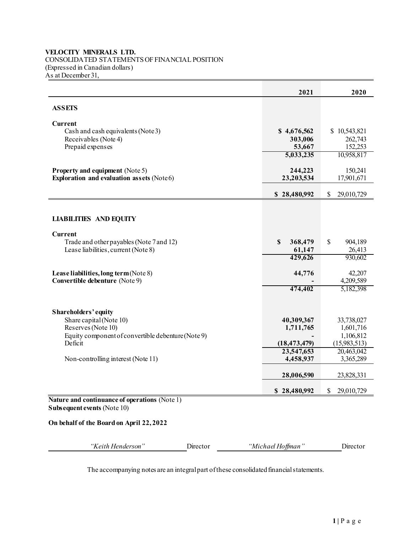## **VELOCITY MINERALS LTD.** CONSOLIDATED STATEMENTS OF FINANCIAL POSITION (Expressed in Canadian dollars) As at December 31,

|                                                                                     |                   | 2021                    | 2020                       |
|-------------------------------------------------------------------------------------|-------------------|-------------------------|----------------------------|
| <b>ASSETS</b>                                                                       |                   |                         |                            |
| Current                                                                             |                   |                         |                            |
| Cash and cash equivalents (Note 3)                                                  |                   | \$4,676,562             | \$10,543,821               |
| Receivables (Note 4)<br>Prepaid expenses                                            |                   | 303,006<br>53,667       | 262,743<br>152,253         |
|                                                                                     |                   | 5,033,235               | 10,958,817                 |
|                                                                                     |                   | 244,223                 |                            |
| <b>Property and equipment (Note 5)</b><br>Exploration and evaluation assets (Note6) |                   | 23,203,534              | 150,241<br>17,901,671      |
|                                                                                     |                   | \$28,480,992            | $\mathbb{S}$<br>29,010,729 |
|                                                                                     |                   |                         |                            |
|                                                                                     |                   |                         |                            |
| <b>LIABILITIES AND EQUITY</b>                                                       |                   |                         |                            |
| Current                                                                             |                   |                         |                            |
| Trade and other payables (Note 7 and 12)<br>Lease liabilities, current (Note 8)     | \$                | 368,479<br>61,147       | \$<br>904,189<br>26,413    |
|                                                                                     |                   | 429,626                 | 930,602                    |
|                                                                                     |                   |                         |                            |
| Lease liabilities, long term (Note 8)<br>Convertible debenture (Note 9)             |                   | 44,776                  | 42,207<br>4,209,589        |
|                                                                                     |                   | 474,402                 | 5,182,398                  |
|                                                                                     |                   |                         |                            |
| Shareholders' equity                                                                |                   |                         |                            |
| Share capital (Note 10)                                                             |                   | 40,309,367              | 33,738,027                 |
| Reserves (Note 10)<br>Equity component of convertible debenture (Note 9)            |                   | 1,711,765               | 1,601,716<br>1,106,812     |
| Deficit                                                                             |                   | (18, 473, 479)          | (15,983,513)               |
| Non-controlling interest (Note 11)                                                  |                   | 23,547,653<br>4,458,937 | 20,463,042<br>3,365,289    |
|                                                                                     |                   |                         |                            |
|                                                                                     |                   | 28,006,590              | 23,828,331                 |
|                                                                                     |                   | \$28,480,992            | \$<br>29,010,729           |
| Nature and continuance of operations (Note 1)                                       |                   |                         |                            |
| Subsequent events (Note 10)                                                         |                   |                         |                            |
| On behalf of the Board on April 22, 2022                                            |                   |                         |                            |
|                                                                                     |                   |                         |                            |
| "Keith Henderson"<br>Director                                                       | "Michael Hoffman" |                         | Director                   |

The accompanying notes are an integral part of these consolidated financial statements.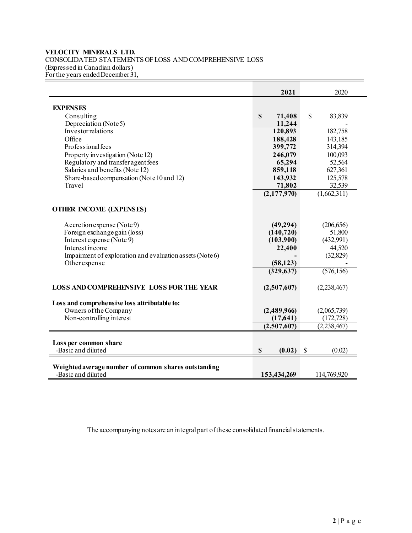## **VELOCITY MINERALS LTD.**  CONSOLIDATED STATEMENTS OF LOSS AND COMPREHENSIVE LOSS (Expressed in Canadian dollars) For the years ended December 31,

|                                                                            | 2021          | 2020                     |
|----------------------------------------------------------------------------|---------------|--------------------------|
| <b>EXPENSES</b>                                                            |               |                          |
| Consulting                                                                 | \$<br>71,408  | $\mathbb{S}$<br>83,839   |
| Depreciation (Note5)                                                       | 11,244        |                          |
| Investor relations                                                         | 120,893       | 182,758                  |
| Office                                                                     | 188,428       | 143,185                  |
| Professional fees                                                          | 399,772       | 314,394                  |
| Property investigation (Note 12)                                           | 246,079       | 100,093                  |
| Regulatory and transfer agent fees                                         | 65,294        | 52,564                   |
| Salaries and benefits (Note 12)                                            | 859,118       | 627,361                  |
| Share-based compensation (Note 10 and 12)                                  | 143,932       | 125,578                  |
| Travel                                                                     | 71,802        | 32,539                   |
|                                                                            | (2, 177, 970) | $\overline{(1,662,311)}$ |
| <b>OTHER INCOME (EXPENSES)</b>                                             |               |                          |
|                                                                            |               |                          |
| Accretion expense (Note 9)                                                 | (49, 294)     | (206, 656)               |
| Foreign exchange gain (loss)                                               | (140, 720)    | 51,800                   |
| Interest expense (Note 9)                                                  | (103,900)     | (432,991)                |
| Interest income                                                            | 22,400        | 44,520                   |
| Impairment of exploration and evaluation as sets (Note 6)<br>Other expense | (58, 123)     | (32, 829)                |
|                                                                            | (329, 637)    | (576, 156)               |
|                                                                            |               |                          |
| <b>LOSS AND COMPREHENSIVE LOSS FOR THE YEAR</b>                            | (2,507,607)   | (2, 238, 467)            |
| Loss and comprehensive loss attributable to:                               |               |                          |
| Owners of the Company                                                      | (2,489,966)   | (2,065,739)              |
| Non-controlling interest                                                   | (17,641)      | (172, 728)               |
|                                                                            | (2,507,607)   | (2, 238, 467)            |
|                                                                            |               |                          |
| Loss per common share                                                      |               |                          |
| -Basic and diluted                                                         | \$<br>(0.02)  | \$<br>(0.02)             |
|                                                                            |               |                          |
| Weighted average number of common shares outstanding<br>-Basic and diluted | 153,434,269   | 114,769,920              |

The accompanying notes are an integral part of these consolidated financial statements.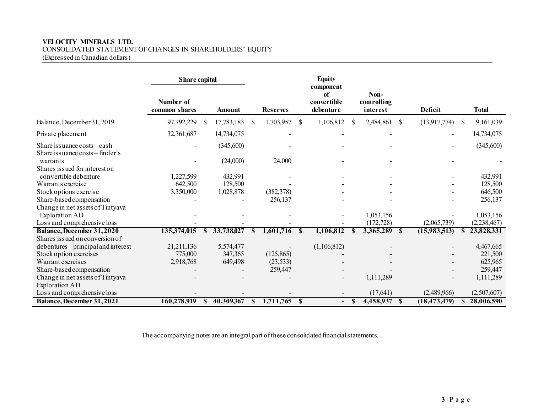## **VELOCITY MINERALS LTD.**  CONSOLIDATED STATEMENT OF CHANGES IN SHAREHOLDERS' EQUITY

(Expressed in Canadian dollars)

|                                                         | Share capital              |               |                    |               |                 |          | <b>Equity</b>                               |               |                                 |               |                |               |                    |
|---------------------------------------------------------|----------------------------|---------------|--------------------|---------------|-----------------|----------|---------------------------------------------|---------------|---------------------------------|---------------|----------------|---------------|--------------------|
|                                                         | Number of<br>common shares |               | <b>Amount</b>      |               | <b>Reserves</b> |          | component<br>of<br>convertible<br>debenture |               | Non-<br>controlling<br>interest |               | <b>Deficit</b> |               | <b>Total</b>       |
| Balance, December 31, 2019                              | 97,792,229                 | S             | 17,783,183         | \$            | 1,703,957       | S        | 1,106,812                                   | <sup>\$</sup> | 2,484,861                       | <sup>\$</sup> | (13,917,774)   | <sup>\$</sup> | 9,161,039          |
| Private placement                                       | 32,361,687                 |               | 14,734,075         |               |                 |          |                                             |               |                                 |               |                |               | 14,734,075         |
| Share is suance $\cos t s - \cosh$                      |                            |               | (345,600)          |               |                 |          |                                             |               |                                 |               |                |               | (345,600)          |
| Share is suance costs – finder's<br>warrants            |                            |               | (24,000)           |               | 24,000          |          |                                             |               |                                 |               |                |               |                    |
| Shares is sued for interest on<br>convertible debenture |                            |               |                    |               |                 |          |                                             |               |                                 |               |                |               |                    |
| Warrants exercise                                       | 1,227,599<br>642,500       |               | 432,991<br>128,500 |               |                 |          |                                             |               |                                 |               |                |               | 432,991<br>128,500 |
| Stock options exercise                                  |                            |               | 1,028,878          |               | (382, 378)      |          |                                             |               |                                 |               |                |               |                    |
| Share-based compensation                                | 3,350,000                  |               |                    |               | 256,137         |          |                                             |               |                                 |               |                |               | 646,500<br>256,137 |
| Change in net assets of Tintyava                        |                            |               |                    |               |                 |          |                                             |               |                                 |               |                |               |                    |
| Exploration AD                                          |                            |               |                    |               |                 |          |                                             |               | 1,053,156                       |               |                |               | 1,053,156          |
| Loss and comprehensive loss                             |                            |               |                    |               |                 |          |                                             |               | (172, 728)                      |               | (2,065,739)    |               | (2, 238, 467)      |
| <b>Balance, December 31,2020</b>                        | 135,374,015                | <sup>\$</sup> | 33,738,027         | <sup>\$</sup> | 1,601,716       | <b>S</b> | 1,106,812                                   |               | 3,365,289                       | <b>S</b>      | (15,983,513)   |               | 23,828,331         |
| Shares is sued on conversion of                         |                            |               |                    |               |                 |          |                                             |               |                                 |               |                |               |                    |
| debentures – principal and interest                     | 21, 211, 136               |               | 5,574,477          |               |                 |          | (1,106,812)                                 |               |                                 |               |                |               | 4,467,665          |
| Stock option exercises                                  | 775,000                    |               | 347,365            |               | (125, 865)      |          |                                             |               |                                 |               |                |               | 221,500            |
| Warrant exercises                                       | 2,918,768                  |               | 649,498            |               | (23, 533)       |          |                                             |               |                                 |               |                |               | 625,965            |
| Share-based compensation                                |                            |               |                    |               | 259,447         |          |                                             |               |                                 |               |                |               | 259,447            |
| Change in net assets of Tintyava                        |                            |               |                    |               |                 |          |                                             |               | 1,111,289                       |               |                |               | 1,111,289          |
| Exploration AD                                          |                            |               |                    |               |                 |          |                                             |               |                                 |               |                |               |                    |
| Loss and comprehensive loss                             |                            |               |                    |               |                 |          |                                             |               | (17,641)                        |               | (2,489,966)    |               | (2,507,607)        |
| Balance, December 31, 2021                              | 160,278,919                | <sup>\$</sup> | 40,309,367         | S.            | 1,711,765 \$    |          | $\overline{\phantom{0}}$                    | -S            | 4,458,937                       | -S            | (18, 473, 479) | S.            | 28,006,590         |

The accompanying notes are an integral part of these consolidated financial statements.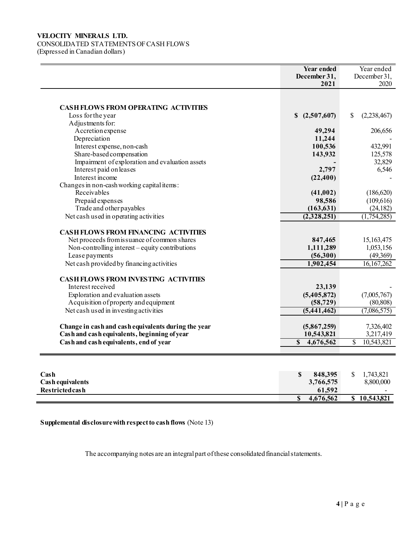## **VELOCITY MINERALS LTD.**  CONSOLIDATED STATEMENTS OF CASH FLOWS (Expressed in Canadian dollars)

|                                                                            | <b>Year ended</b><br>December 31,<br>2021 | Year ended<br>December 31,<br>2020     |
|----------------------------------------------------------------------------|-------------------------------------------|----------------------------------------|
|                                                                            |                                           |                                        |
| <b>CASH FLOWS FROM OPERATING ACTIVITIES</b>                                |                                           |                                        |
| Loss for the year                                                          | (2,507,607)<br>\$                         | \$<br>(2,238,467)                      |
| Adjustments for:                                                           |                                           |                                        |
| Accretion expense                                                          | 49,294                                    | 206,656                                |
| Depreciation                                                               | 11,244                                    |                                        |
| Interest expense, non-cash                                                 | 100,536                                   | 432,991                                |
| Share-based compensation                                                   | 143,932                                   | 125,578                                |
| Impairment of exploration and evaluation assets                            |                                           | 32,829                                 |
| Interest paid on leases                                                    | 2,797                                     | 6,546                                  |
| Interest income                                                            | (22, 400)                                 |                                        |
| Changes in non-cash working capital items:                                 |                                           |                                        |
| Receivables                                                                | (41,002)                                  | (186, 620)                             |
| Prepaid expenses                                                           | 98,586                                    | (109, 616)                             |
| Trade and other payables                                                   | (163, 631)                                | (24, 182)                              |
| Net cash used in operating activities                                      | (2,328,251)                               | (1,754,285)                            |
| <b>CASH FLOWS FROM FINANCING ACTIVITIES</b>                                |                                           |                                        |
| Net proceeds from is suance of common shares                               | 847,465                                   | 15,163,475                             |
| Non-controlling interest – equity contributions                            | 1,111,289                                 | 1,053,156                              |
| Lease payments                                                             | (56,300)                                  | (49,369)                               |
| Net cash provided by financing activities                                  | 1,902,454                                 | 16, 167, 262                           |
| <b>CASH FLOWS FROM INVESTING ACTIVITIES</b>                                |                                           |                                        |
| Interest received                                                          | 23,139                                    |                                        |
|                                                                            |                                           |                                        |
| Exploration and evaluation assets<br>Acquisition of property and equipment | (5,405,872)<br>(58, 729)                  | (7,005,767)<br>(80, 808)               |
|                                                                            | (5,441,462)                               |                                        |
| Net cash used in investing activities                                      |                                           | (7,086,575)                            |
| Change in cash and cash equivalents during the year                        | (5,867,259)                               | 7,326,402                              |
| Cash and cash equivalents, beginning of year                               | 10,543,821                                | 3,217,419                              |
| Cash and cash equivalents, end of year                                     | \$<br>4,676,562                           | $\overline{\mathcal{S}}$<br>10,543,821 |
|                                                                            |                                           |                                        |
| Cash<br><b>Cash equivalents</b><br>Restrictedcash                          | 848,395<br>\$<br>3,766,575<br>61,592      | \$<br>1,743,821<br>8,800,000           |

**Supplemental disclosure with respect to cash flows** (Note 13)

The accompanying notes are an integral part of these consolidated financial statements.

**Restricted cash** 61,592<br> **61,592**<br> **61,592**<br> **61,676,562** 

**\$ 4,676,562 \$ 10,543,821**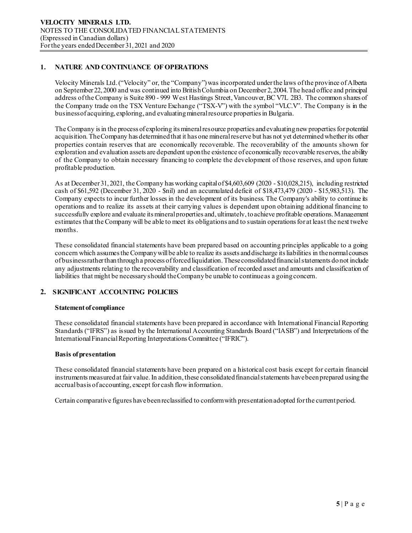## **1. NATURE AND CONTINUANCE OF OPERATIONS**

Velocity Minerals Ltd. ("Velocity" or, the "Company") was incorporated under the laws of the province of Alberta on September 22, 2000 and was continued into British Columbia on December 2, 2004. The head office and principal address of the Company is Suite 890 - 999 West Hastings Street, Vancouver, BC V7L 2B3. The common shares of the Company trade on the TSX Venture Exchange ("TSX-V") with the symbol "VLC.V". The Company is in the business of acquiring, exploring, and evaluating mineral resource propertiesin Bulgaria.

The Company is in the process of exploring its mineral resource properties and evaluating new properties for potential acquisition. The Company has determined that it has one mineral reserve but has not yet determined whether its other properties contain reserves that are economically recoverable. The recoverability of the amounts shown for exploration and evaluation assets are dependent upon the existence of economically recoverable reserves, the ability of the Company to obtain necessary financing to complete the development of those reserves, and upon future profitable production.

As at December 31, 2021, the Company has working capitalof \$4,603,609 (2020 - \$10,028,215), including restricted cash of \$61,592 (December 31, 2020 - \$nil) and an accumulated deficit of \$18,473,479 (2020 - \$15,983,513). The Company expects to incur further losses in the development of its business. The Company's ability to continue its operations and to realize its assets at their carrying values is dependent upon obtaining additional financing to successfully explore and evaluate its mineral properties and, ultimately, to achieve profitable operations. Management estimates that the Company will be able to meet its obligations and to sustain operations for at least the next twelve months.

These consolidated financial statements have been prepared based on accounting principles applicable to a going concern which assumes the Company will be able to realize its assets and discharge its liabilities in the normal courses of business rather than through a process of forced liquidation. These consolidated financial statements do not include any adjustments relating to the recoverability and classification of recorded asset and amounts and classification of liabilities that might be necessary should the Company be unable to continueas a going concern.

## **2. SIGNIFICANT ACCOUNTING POLICIES**

## **Statement of compliance**

These consolidated financial statements have been prepared in accordance with International Financial Reporting Standards ("IFRS") as issued by the International Accounting Standards Board ("IASB") and Interpretations of the International Financial Reporting Interpretations Committee ("IFRIC").

## **Basis of presentation**

These consolidated financial statements have been prepared on a historical cost basis except for certain financial instruments measured at fair value. In addition, these consolidated financial statements have been prepared using the accrual basis of accounting, except for cash flow information.

Certain comparative figures have been reclassified to conformwith presentationadopted for the current period.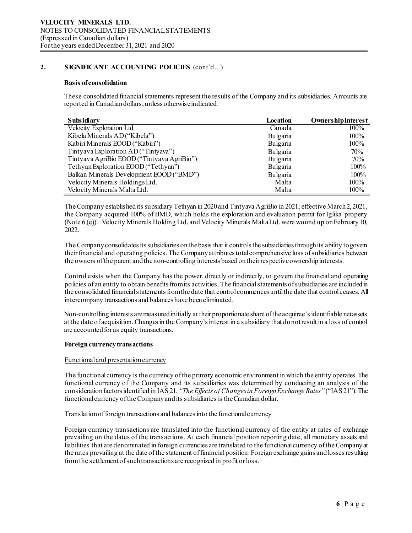## **Basis of consolidation**

These consolidated financial statements represent the results of the Company and its subsidiaries. Amounts are reported in Canadian dollars, unless otherwise indicated.

| Subsidiary                                 | Location | <b>Ownership Interest</b> |
|--------------------------------------------|----------|---------------------------|
| Velocity Exploration Ltd.                  | Canada   | 100%                      |
| Kibela Minerals AD ("Kibela")              | Bulgaria | 100%                      |
| Kabiri Minerals EOOD ("Kabiri")            | Bulgaria | 100%                      |
| Tintyava Exploration AD ("Tintyava")       | Bulgaria | 70%                       |
| Tintyava AgriBio EOOD ("Tintyava AgriBio") | Bulgaria | 70%                       |
| Tethyan Exploration EOOD ("Tethyan")       | Bulgaria | 100%                      |
| Balkan Minerals Development EOOD ("BMD")   | Bulgaria | 100%                      |
| Velocity Minerals Holdings Ltd.            | Malta    | 100%                      |
| Velocity Minerals Malta Ltd.               | Malta    | 100%                      |

The Company established its subsidiary Tethyan in 2020 and Tintyava AgriBio in 2021; effective March 2, 2021, the Company acquired 100% of BMD, which holds the exploration and evaluation permit for Iglika property (Note 6 (e)). Velocity Minerals Holding Ltd, and Velocity Minerals Malta Ltd. were wound up on February 10, 2022.

The Company consolidates its subsidiaries on the basis that it controls the subsidiaries through its ability to govern theirfinancial and operating policies. The Company attributes total comprehensive loss of subsidiaries between the owners of the parent and the non-controlling interests based on their respective ownership interests.

Control exists when the Company has the power, directly or indirectly, to govern the financial and operating policies of an entity to obtain benefits from its activities. The financial statements of subsidiaries are included in the consolidated financial statements from the date that control commences until the date that control ceases. All intercompany transactions and balances have been eliminated.

Non-controlling interests are measured initially at their proportionate share of the acquiree's identifiable net assets at the date of acquisition. Changes in the Company's interest in a subsidiary that do not result in a loss of control are accounted for as equity transactions.

## **Foreign currency transactions**

## Functional and presentation currency

The functional currency is the currency of the primary economic environment in which the entity operates. The functional currency of the Company and its subsidiaries was determined by conducting an analysis of the consideration factors identified in IAS 21, *"The Effects of Changes in Foreign Exchange Rates"*("IAS 21"). The functional currency of the Companyand its subsidiaries is the Canadian dollar.

## Translation of foreign transactions and balances into the functional currency

Foreign currency transactions are translated into the functional currency of the entity at rates of exchange prevailing on the dates of the transactions. At each financial position reporting date, all monetary assets and liabilities that are denominated in foreign currencies are translated to the functional currency of the Company at the rates prevailing at the date of the statement of financial position. Foreign exchange gains and losses resulting from the settlement of such transactions are recognized in profit or loss.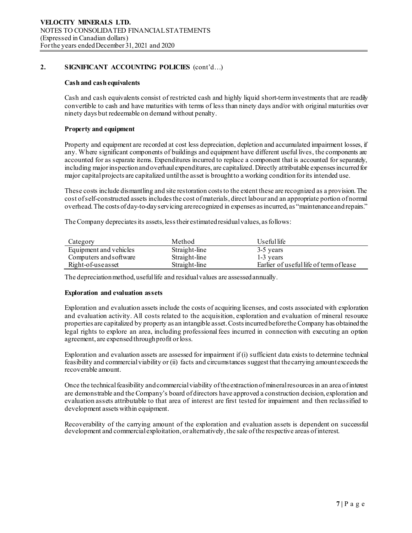## **Cash and cash equivalents**

Cash and cash equivalents consist of restricted cash and highly liquid short-term investments that are readily convertible to cash and have maturities with terms of less than ninety days and/or with original maturities over ninety days but redeemable on demand without penalty.

## **Property and equipment**

Property and equipment are recorded at cost less depreciation, depletion and accumulated impairment losses, if any. Where significant components of buildings and equipment have different useful lives, the components are accounted for as separate items. Expenditures incurred to replace a component that is accounted for separately, including major inspection and overhaul expenditures, are capitalized. Directly attributable expenses incurred for major capital projects are capitalized until the asset is brought to a working conditionfor its intended use.

These costs include dismantling and site restoration costs to the extent these are recognized as a provision.The cost of self‐constructed assets includes the cost of materials, direct labour and an appropriate portion of normal overhead. The costs of day‐to‐day servicing are recognized in expenses as incurred, as "maintenance and repairs."

The Company depreciates its assets, less their estimated residual values, as follows:

| Category               | Method        | Useful life                             |
|------------------------|---------------|-----------------------------------------|
| Equipment and vehicles | Straight-line | 3-5 years                               |
| Computers and software | Straight-line | 1-3 years                               |
| Right-of-useasset      | Straight-line | Earlier of useful life of term of lease |

The depreciation method, useful life and residual values are assessed annually.

#### **Exploration and evaluation assets**

Exploration and evaluation assets include the costs of acquiring licenses, and costs associated with exploration and evaluation activity. All costs related to the acquisition, exploration and evaluation of mineral resource properties are capitalized by property as an intangible asset. Costs incurred before the Company has obtained the legal rights to explore an area, including professional fees incurred in connection with executing an option agreement, are expensed through profit or loss.

Exploration and evaluation assets are assessed for impairment if (i) sufficient data exists to determine technical feasibility and commercial viability or (ii) facts and circumstances suggest that the carrying amount exceeds the recoverable amount.

Once the technical feasibility andcommercial viability of the extraction of mineral resources in an area of interest are demonstrable and the Company's board of directors have approved a construction decision, exploration and evaluation assets attributable to that area of interest are first tested for impairment and then reclassified to development assets within equipment.

Recoverability of the carrying amount of the exploration and evaluation assets is dependent on successful development and commercial exploitation, or alternatively, the sale of the respective areas of interest.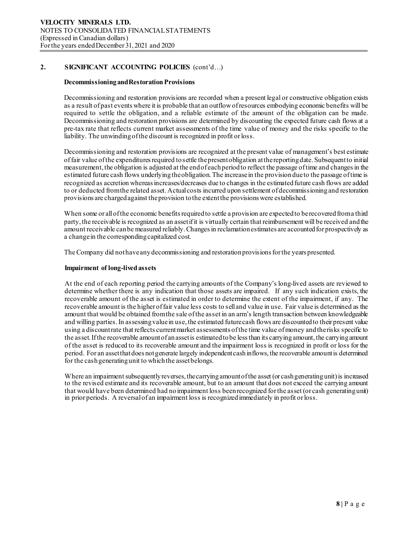## **Decommissioning and Restoration Provisions**

Decommissioning and restoration provisions are recorded when a present legal or constructive obligation exists as a result of past events where it is probable that an outflow of resources embodying economic benefits will be required to settle the obligation, and a reliable estimate of the amount of the obligation can be made. Decommissioning and restoration provisions are determined by discounting the expected future cash flows at a pre-tax rate that reflects current market assessments of the time value of money and the risks specific to the liability. The unwinding of the discount is recognized in profit or loss.

Decommissioning and restoration provisions are recognized at the present value of management's best estimate of fair value of the expenditures required to settle the present obligation at the reporting date. Subsequent to initial measurement, the obligation is adjusted at the end of each period to reflect the passage of time and changes in the estimated future cash flows underlying the obligation. The increase in the provision due to the passage of time is recognized as accretion whereas increases/decreases due to changes in the estimated future cash flows are added to or deducted from the related asset. Actual costs incurred upon settlement of decommissioning and restoration provisions are charged against the provision to the extent the provisions were established.

When some or all of the economic benefits required to settle a provision are expected to be recovered from a third party, the receivable is recognized as an asset if it is virtually certain that reimbursement will be received and the amount receivable can be measured reliably. Changes in reclamation estimates are accounted for prospectively as a change in the corresponding capitalized cost.

The Company did not have any decommissioning and restoration provisions for the years presented.

## **Impairment of long-lived assets**

At the end of each reporting period the carrying amounts of the Company's long-lived assets are reviewed to determine whether there is any indication that those assets are impaired. If any such indication exists, the recoverable amount of the asset is estimated in order to determine the extent of the impairment, if any. The recoverable amount is the higher of fair value less costs to sell and value in use. Fair value is determined as the amount that would be obtained from the sale of the asset in an arm's length transaction between knowledgeable and willing parties. In assessing value in use, the estimated future cash flows are discounted to their present value using a discount rate that reflects current market assessments of the time value of money and the risks specific to the asset. If the recoverable amount of an asset is estimated tobe less than its carrying amount, the carrying amount of the asset is reduced to its recoverable amount and the impairment loss is recognized in profit or loss for the period. For an asset that does not generate largely independent cash inflows, the recoverable amount is determined for the cash generating unit to which the asset belongs.

Where an impairment subsequently reverses, the carrying amount of the asset (or cash generating unit) is increased to the revised estimate and its recoverable amount, but to an amount that does not exceed the carrying amount that would have been determined had no impairment loss been recognized for the asset (or cash generating unit) in prior periods. A reversal of an impairment loss is recognized immediately in profit or loss.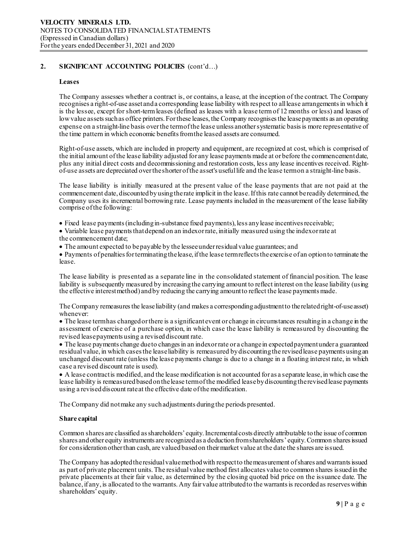## **Leases**

The Company assesses whether a contract is, or contains, a lease, at the inception of the contract. The Company recognises a right-of-use asset and a corresponding lease liability with respect to all lease arrangements in which it is the lessee, except for short-term leases (defined as leases with a lease term of 12 months or less) and leases of low value assets such as office printers. For these leases, the Company recognises the lease payments as an operating expense on a straight-line basis over the term of the lease unless another systematic basis is more representative of the time pattern in which economic benefits fromthe leased assets are consumed.

Right-of-use assets, which are included in property and equipment, are recognized at cost, which is comprised of the initial amount of the lease liability adjusted for any lease payments made at or before the commencement date, plus any initial direct costs and decommissioning and restoration costs, less any lease incentives received. Right-<br>of-use assets are depreciated over the shorter of the asset's useful life and the lease termon a straight-

The lease liability is initially measured at the present value of the lease payments that are not paid at the commencement date, discounted by using the rate implicit in the lease.If this rate cannot be readily determined, the Company uses its incremental borrowing rate. Lease payments included in the measurement of the lease liability comprise of the following:

• Fixed lease payments (including in-substance fixed payments), less any lease incentives receivable;

- Variable lease payments that depend on an index or rate, initially measured using the index or rate at the commencement date;
- The amount expected to be payable by the lessee under residual value guarantees; and

• Payments of penalties for terminating the lease, if the lease term reflects the exercise of an option to terminate the lease.

The lease liability is presented as a separate line in the consolidated statement of financial position. The lease liability is subsequently measured by increasing the carrying amount to reflect interest on the lease liability (using the effective interest method) and by reducing the carrying amount to reflect the lease payments made.

The Company remeasures the lease liability (and makes a corresponding adjustment to the related right-of-use asset) whenever:

• The lease term has changed or there is a significant event or change in circumstances resulting in a change in the assessment of exercise of a purchase option, in which case the lease liability is remeasured by discounting the revised lease payments using a revised discount rate.

• The lease payments change due to changes in an index or rate or a change in expected payment under a guaranteed residual value, in which cases the lease liability is remeasured by discounting the revisedlease payments using an unchanged discount rate (unless the lease payments change is due to a change in a floating interest rate, in which case a revised discount rate is used).

• A lease contract is modified, and the lease modification is not accounted for as a separate lease, in which case the lease liability is remeasured based on the lease term of the modified lease bydiscounting the revised lease payments using a revised discount rate at the effective date of the modification.

The Company did not make any such adjustments during the periods presented.

## **Share capital**

Common shares are classified as shareholders' equity. Incremental costs directly attributable to the issue of common shares and other equity instruments are recognized as a deduction from shareholders' equity. Common shares issued for consideration other than cash, are valued based on their market value at the date the shares are issued.

The Company has adopted the residual value method with respect to the measurement of shares and warrants issued as part of private placement units. The residual value method first allocates value to common shares issued in the private placements at their fair value, as determined by the closing quoted bid price on the issuance date. The balance, if any, is allocated to the warrants. Any fair value attributed to the warrants is recorded as reserves within shareholders' equity.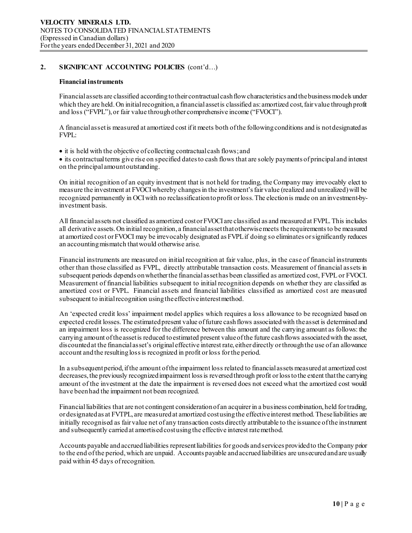## **Financial instruments**

Financial assets are classified according to their contractual cash flow characteristics and the business models under which they are held. On initial recognition, a financial asset is classified as: amortized cost, fair value through profit and loss ("FVPL"), or fair value through other comprehensive income ("FVOCI").

A financial asset is measured at amortized cost if it meets both of the following conditions and is not designated as FVPL:

• it is held with the objective of collecting contractual cash flows; and

• its contractual terms give rise on specified dates to cash flows that are solely payments of principal and interest on the principal amount outstanding.

On initial recognition of an equity investment that is not held for trading, the Company may irrevocably elect to measure the investment at FVOCI whereby changes in the investment's fair value (realized and unrealized) will be recognized permanently in OCI with no reclassification to profit or loss. The election is made on an investment-byinvestment basis.

All financial assets not classified as amortized cost or FVOCI are classified as and measured at FVPL. This includes all derivative assets. On initial recognition, a financial asset that otherwise meets the requirements to be measured at amortized cost or FVOCI may be irrevocably designated as FVPL if doing so eliminates or significantly reduces an accounting mismatch that would otherwise arise.

Financial instruments are measured on initial recognition at fair value, plus, in the case of financial instruments other than those classified as FVPL, directly attributable transaction costs. Measurement of financial assets in subsequent periods depends on whether the financial asset has been classified as amortized cost, FVPL or FVOCI. Measurement of financial liabilities subsequent to initial recognition depends on whether they are classified as amortized cost or FVPL. Financial assets and financial liabilities classified as amortized cost are measured subsequent to initial recognition using the effective interest method.

An 'expected credit loss' impairment model applies which requires a loss allowance to be recognized based on expected credit losses. The estimated present value of future cash flows associated with the asset is determined and an impairment loss is recognized for the difference between this amount and the carrying amount as follows: the carrying amount of the asset is reduced to estimated present value of the future cash flows associated with the asset, discounted at the financial asset's original effective interest rate, either directly or through the use of an allowance account and the resulting loss is recognized in profit or loss for the period.

In a subsequent period, if the amount of the impairment loss related to financial assets measured at amortized cost decreases, the previously recognized impairment loss is reversed through profit or loss tothe extent that the carrying amount of the investment at the date the impairment is reversed does not exceed what the amortized cost would have been had the impairment not been recognized.

Financial liabilities that are not contingent consideration of an acquirer in a business combination, held for trading, or designated as at FVTPL, are measured at amortized cost using the effective interest method. These liabilities are initially recognised as fair value net of any transaction costs directly attributable to the issuance of the instrument and subsequently carried at amortised cost using the effective interest rate method.

Accounts payable and accrued liabilities represent liabilities for goods and services provided to the Company prior to the end of the period, which are unpaid. Accounts payable and accrued liabilities are unsecured and are usually paid within 45 days of recognition.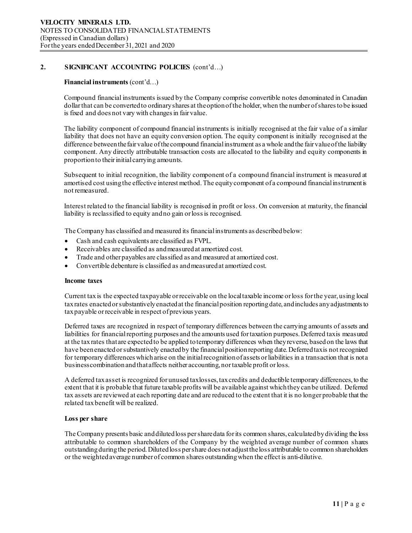## **Financial instruments** (cont'd…)

Compound financial instruments issued by the Company comprise convertible notes denominated in Canadian dollar that can be converted to ordinary shares at the option of the holder, when the number of shares to be issued is fixed and does not vary with changes in fair value.

The liability component of compound financial instruments is initially recognised at the fair value of a similar liability that does not have an equity conversion option. The equity component is initially recognised at the difference between the fair value of the compound financial instrument as a whole and the fair value of the liability component. Any directly attributable transaction costs are allocated to the liability and equity components in proportion to their initial carrying amounts.

Subsequent to initial recognition, the liability component of a compound financial instrument is measured at amortised cost using the effective interest method. The equity component of a compound financial instrument is not remeasured.

Interest related to the financial liability is recognised in profit or loss. On conversion at maturity, the financial liability is reclassified to equity and no gain or loss is recognised.

The Company has classified and measured its financial instruments as described below:

- Cash and cash equivalents are classified as FVPL.
- Receivables are classified as and measured at amortized cost.
- Trade and other payables are classified as and measured at amortized cost.
- Convertible debenture is classified as and measured at amortized cost.

#### **Income taxes**

Current tax is the expected tax payable or receivable on the local taxable income or loss for the year, using local tax rates enacted or substantively enacted at the financial position reporting date, and includes any adjustments to tax payable or receivable in respect of previous years.

Deferred taxes are recognized in respect of temporary differences between the carrying amounts of assets and liabilities for financial reporting purposes and the amounts used for taxation purposes. Deferred tax is measured at the tax rates that are expected to be applied to temporary differences when they reverse, based on the laws that have been enacted or substantively enacted by the financial position reporting date. Deferred tax is not recognized for temporary differences which arise on the initial recognition of assets or liabilities in a transaction that is not a business combination and that affects neither accounting, nor taxable profit or loss.

A deferred tax asset is recognized for unused tax losses, tax credits and deductible temporary differences, to the extent that it is probable that future taxable profits will be available against which they can be utilized. Deferred tax assets are reviewed at each reporting date and are reduced to the extent that it is no longer probable that the related tax benefit will be realized.

#### **Loss per share**

The Company presents basic and diluted loss per share data for its common shares, calculated by dividing the loss attributable to common shareholders of the Company by the weighted average number of common shares outstanding during the period. Diluted loss per share does not adjust the loss attributable to common shareholders or the weighted average number of common shares outstanding when the effect is anti-dilutive.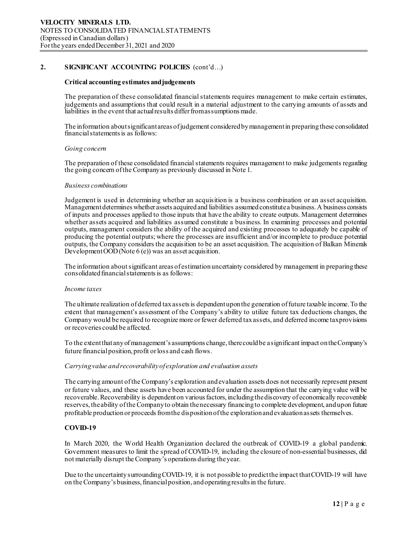## **Critical accounting estimates and judgements**

The preparation of these consolidated financial statements requires management to make certain estimates, judgements and assumptions that could result in a material adjustment to the carrying amounts of assets and liabilities in the event that actual results differ from assumptions made.

The information about significant areas of judgement considered by management in preparing these consolidated financial statements is as follows:

## *Going concern*

The preparation of these consolidated financial statements requires management to make judgements regarding the going concern of the Company as previously discussed in Note 1.

## *Business combinations*

Judgement is used in determining whether an acquisition is a business combination or an asset acquisition. Management determines whether assets acquiredand liabilities assumed constitute a business. A business consists of inputs and processes applied to those inputs that have the ability to create outputs. Management determines whether assets acquired and liabilities assumed constitute a business. In examining processes and potential outputs, management considers the ability of the acquired and existing processes to adequately be capable of producing the potential outputs; where the processes are insufficient and/or incomplete to produce potential outputs, the Company considers the acquisition to be an asset acquisition. The acquisition of Balkan Minerals Development  $\overrightarrow{OOD}$  (Note 6 (e)) was an asset acquisition.

The information about significant areas of estimation uncertainty considered by management in preparing these consolidated financial statements is as follows:

## *Income taxes*

The ultimate realization of deferred tax assets is dependent upon the generation of future taxable income. To the extent that management's assessment of the Company's ability to utilize future tax deductions changes, the Company would be required to recognize more or fewer deferred tax assets, and deferred income tax provisions or recoveries could be affected.

To the extent that any of management's assumptions change, there could be a significant impact on the Company's future financial position, profit or loss and cash flows.

## *Carrying value and recoverability of exploration and evaluation assets*

The carrying amount of the Company's exploration and evaluation assets does not necessarily represent present or future values, and these assets have been accounted for under the assumption that the carrying value will be recoverable. Recoverability is dependent on various factors, including the discovery of economically recoverable reserves, the ability of the Company to obtain the necessary financing to complete development, and upon future profitable production or proceeds from the disposition of the exploration and evaluation assets themselves.

## **COVID-19**

In March 2020, the World Health Organization declared the outbreak of COVID-19 a global pandemic. Government measures to limit the spread of COVID-19, including the closure of non-essential businesses, did not materially disrupt the Company's operations during the year.

Due to the uncertainty surrounding COVID-19, it is not possible to predict the impact that COVID-19 will have on the Company's business, financial position, and operating results in the future.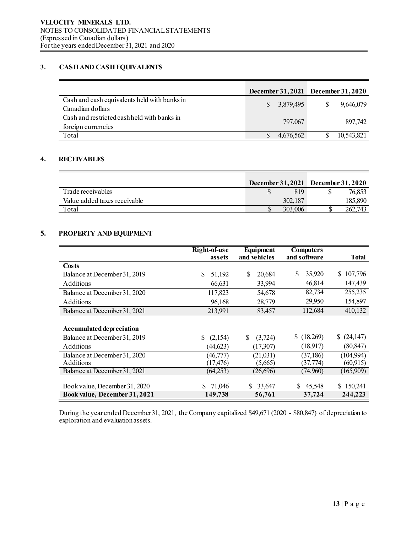## **3. CASH AND CASH EQUIVALENTS**

|                                                                   |                           | December 31, 2021 December 31, 2020 |
|-------------------------------------------------------------------|---------------------------|-------------------------------------|
| Cash and cash equivalents held with banks in<br>Canadian dollars  | 3,879,495<br><sup>S</sup> | 9.646.079                           |
| Cash and restricted cash held with banks in<br>foreign currencies | 797,067                   | 897.742                             |
| Total                                                             | 4.676.562                 | 10,543,821                          |

## **4. RECEIVABLES**

|                              | <b>December 31, 2021</b> |         | December $31,2020$ |         |
|------------------------------|--------------------------|---------|--------------------|---------|
| Trade receivables            |                          | 819     |                    | 76,853  |
| Value added taxes receivable |                          | 302,187 |                    | 185,890 |
| Total                        |                          | 303,006 |                    | 262,743 |

## **5. PROPERTY AND EQUIPMENT**

|                                                  | Right-of-use<br>assets | Equipment<br>and vehicles | <b>Computers</b><br>and software | <b>Total</b>           |
|--------------------------------------------------|------------------------|---------------------------|----------------------------------|------------------------|
| Costs                                            |                        |                           |                                  |                        |
| Balance at December 31, 2019                     | \$.<br>51,192          | S<br>20,684               | \$<br>35,920                     | \$107,796              |
| <b>Additions</b>                                 | 66,631                 | 33,994                    | 46,814                           | 147,439                |
| Balance at December 31, 2020                     | 117,823                | 54,678                    | 82,734                           | 255,235                |
| <b>Additions</b>                                 | 96,168                 | 28,779                    | 29,950                           | 154,897                |
| Balance at December 31, 2021                     | 213,991                | 83,457                    | 112,684                          | 410,132                |
| <b>Accumulated depreciation</b>                  |                        |                           |                                  |                        |
| Balance at December 31, 2019                     | \$.<br>(2,154)         | S<br>(3,724)              | \$(18,269)                       | (24, 147)              |
| <b>Additions</b>                                 | (44, 623)              | (17, 307)                 | (18,917)                         | (80, 847)              |
| Balance at December 31, 2020<br><b>Additions</b> | (46, 777)<br>(17, 476) | (21,031)<br>(5,665)       | (37, 186)<br>(37, 774)           | (104,994)<br>(60, 915) |
| Balance at December 31, 2021                     | (64,253)               | (26,696)                  | (74,960)                         | (165,909)              |
| Book value, December 31, 2020                    | 71,046<br>S.           | 33,647                    | 45,548                           | \$150,241              |
| Book value, December 31, 2021                    | 149,738                | 56,761                    | 37,724                           | 244,223                |

During the year ended December 31, 2021, the Company capitalized \$49,671 (2020 - \$80,847) of depreciation to exploration and evaluation assets.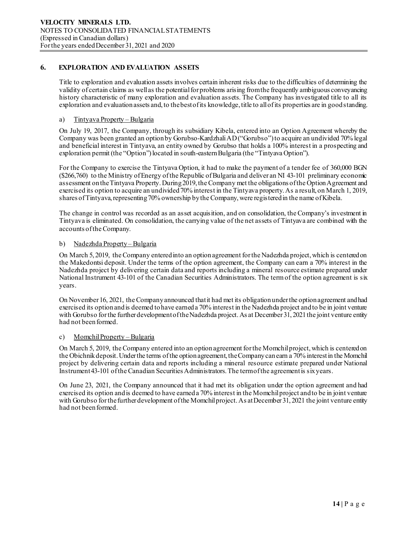## **6. EXPLORATION AND EVALUATION ASSETS**

Title to exploration and evaluation assets involves certain inherent risks due to the difficulties of determining the validity of certain claims as well as the potential for problems arising from the frequently ambiguous conveyancing history characteristic of many exploration and evaluation assets. The Company has investigated title to all its exploration and evaluation assets and, to the best of its knowledge, title to all of its properties are in good standing.

## a) Tintyava Property – Bulgaria

On July 19, 2017, the Company, through its subsidiary Kibela, entered into an Option Agreement whereby the Company was been granted an option by Gorubso-Kardzhali AD ("Gorubso") to acquire an undivided 70% legal and beneficial interest in Tintyava, an entity owned by Gorubso that holds a 100% interest in a prospecting and exploration permit (the "Option") located in south-eastern Bulgaria (the "Tintyava Option").

For the Company to exercise the Tintyava Option, it had to make the payment of a tender fee of 360,000 BGN (\$266,760) to the Ministry of Energy of the Republic of Bulgaria and deliver an NI 43-101 preliminary economic assessment on the Tintyava Property. During 2019, the Company met the obligations of the Option Agreement and exercised its option to acquire an undivided 70% interest in the Tintyava property. As a result, on March 1, 2019, shares of Tintyava, representing 70% ownership by the Company, were registered in the name of Kibela.

The change in control was recorded as an asset acquisition, and on consolidation, the Company's investment in Tintyava is eliminated. On consolidation, the carrying value of the net assets of Tintyava are combined with the accounts of the Company.

## b) Nadezhda Property – Bulgaria

On March 5, 2019, the Company entered into an option agreement for the Nadezhda project, which is centered on the Makedontsi deposit. Under the terms of the option agreement, the Company can earn a 70% interest in the Nadezhda project by delivering certain data and reports including a mineral resource estimate prepared under National Instrument 43-101 of the Canadian Securities Administrators. The term of the option agreement is six years.

On November 16, 2021, the Company announced that it had met its obligation under the option agreement and had exercised its option and is deemed to have earned a 70% interest in the Nadezhda project and to be in joint venture with Gorubso for the further development of the Nadezhda project. As at December 31, 2021 the joint venture entity had not been formed.

## c) MomchilProperty – Bulgaria

On March 5, 2019, the Company entered into an option agreement for the Momchil project, which is centered on the Obichnikdeposit. Under the terms of the option agreement, the Company can earn a 70% interest in the Momchil project by delivering certain data and reports including a mineral resource estimate prepared under National Instrument 43-101 of the Canadian Securities Administrators. The term of the agreement is six years.

On June 23, 2021, the Company announced that it had met its obligation under the option agreement and had exercised its option and is deemed to have earned a 70% interest in the Momchil project and to be in joint venture with Gorubso for the further development of the Momchil project. As at December 31, 2021 the joint venture entity had not been formed.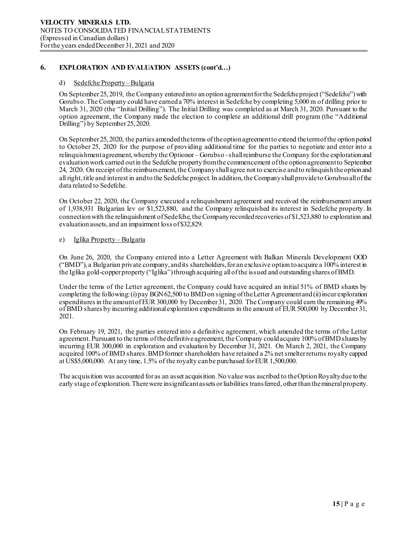## **6. EXPLORATION AND EVALUATION ASSETS (cont'd…)**

## d) Sedefche Property – Bulgaria

On September 25, 2019, the Company entered into an option agreement for the Sedefche project ("Sedefche") with Gorubso. The Company could have earneda 70% interest in Sedefche by completing 5,000 m of drilling prior to March 31, 2020 (the "Initial Drilling"). The Initial Drilling was completed as at March 31, 2020. Pursuant to the option agreement, the Company made the election to complete an additional drill program (the "Additional Drilling") by September 25, 2020.

On September 25, 2020, the parties amended the terms of the option agreement to extend the term of the option period to October 25, 2020 for the purpose of providing additional time for the parties to negotiate and enter into a relinquishment agreement, whereby the Optionor – Gorubso - shall reimburse the Company for the exploration and evaluation work carried out in the Sedefche property from the commencement of the option agreement to September 24, 2020. On receipt of the reimbursement, the Company shall agree not to exercise and to relinquish the option and all right, title and interest in and to the Sedefche project. In addition, the Company shall provide to Gorubso all of the data related to Sedefche.

On October 22, 2020, the Company executed a relinquishment agreement and received the reimbursement amount of 1,938,931 Bulgarian lev or \$1,523,880, and the Company relinquished its interest in Sedefche property. In connection with the relinquishment of Sedefche, the Company recorded recoveries of \$1,523,880 to exploration and evaluation assets, and an impairment loss of \$32,829.

## e) Iglika Property – Bulgaria

On June 26, 2020, the Company entered into a Letter Agreement with Balkan Minerals Development OOD ("BMD"), a Bulgarian private company, and its shareholders, for an exclusive option to acquire a 100% interest in the Iglika gold-copper property ("Iglika") through acquiring all of the issued and outstanding shares of BMD.

Under the terms of the Letter agreement, the Company could have acquired an initial 51% of BMD shares by completing the following: (i) pay BGN 62,500 to BMD on signing of the Letter Agreementand (ii) incur exploration expenditures in the amount of EUR 300,000 by December 31, 2020. The Company could earn the remaining 49% of BMD shares by incurring additional exploration expenditures in the amount of EUR 500,000 by December 31, 2021.

On February 19, 2021, the parties entered into a definitive agreement, which amended the terms of the Letter agreement. Pursuant to the terms of the definitive agreement, the Company could acquire 100% of BMD shares by incurring EUR 300,000 in exploration and evaluation by December 31, 2021. On March 2, 2021, the Company acquired 100% of BMD shares. BMD former shareholders have retained a 2% net smelter returns royalty capped at US\$5,000,000. At any time, 1.5% of the royalty can be purchased forEUR 1,500,000.

The acquisition was accounted for as an asset acquisition. No value was ascribed to the Option Royalty due to the early stage of exploration. There were insignificant assets or liabilities transferred, other than the mineral property.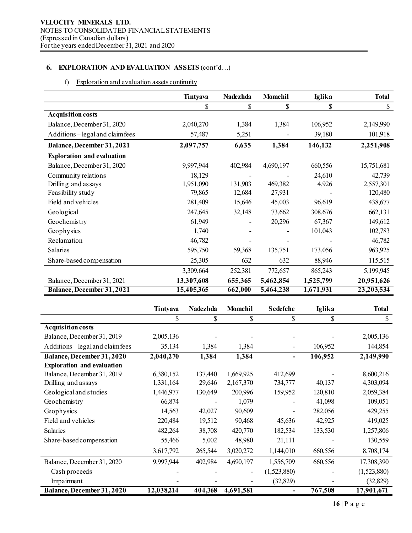## **6. EXPLORATION AND EVALUATION ASSETS** (cont'd…)

## f) Exploration and evaluation assets continuity

|                                   | Tintyava   | <b>Nadezhda</b> | Momchil   | <b>Iglika</b> | <b>Total</b> |
|-----------------------------------|------------|-----------------|-----------|---------------|--------------|
|                                   | \$         | \$              | \$        | \$            | \$           |
| <b>Acquisition costs</b>          |            |                 |           |               |              |
| Balance, December 31, 2020        | 2,040,270  | 1,384           | 1,384     | 106,952       | 2,149,990    |
| Additions – legal and claim fees  | 57,487     | 5,251           |           | 39,180        | 101,918      |
| <b>Balance, December 31, 2021</b> | 2,097,757  | 6,635           | 1,384     | 146,132       | 2,251,908    |
| <b>Exploration and evaluation</b> |            |                 |           |               |              |
| Balance, December 31, 2020        | 9,997,944  | 402,984         | 4,690,197 | 660,556       | 15,751,681   |
| Community relations               | 18,129     |                 |           | 24,610        | 42,739       |
| Drilling and assays               | 1,951,090  | 131,903         | 469,382   | 4,926         | 2,557,301    |
| Feasibility study                 | 79,865     | 12,684          | 27,931    |               | 120,480      |
| Field and vehicles                | 281,409    | 15,646          | 45,003    | 96,619        | 438,677      |
| Geological                        | 247,645    | 32,148          | 73,662    | 308,676       | 662,131      |
| Geochemistry                      | 61,949     |                 | 20,296    | 67,367        | 149,612      |
| Geophysics                        | 1,740      |                 |           | 101,043       | 102,783      |
| Reclamation                       | 46,782     |                 |           |               | 46,782       |
| Salaries                          | 595,750    | 59,368          | 135,751   | 173,056       | 963,925      |
| Share-based compensation          | 25,305     | 632             | 632       | 88,946        | 115,515      |
|                                   | 3,309,664  | 252,381         | 772,657   | 865,243       | 5,199,945    |
| Balance, December 31, 2021        | 13,307,608 | 655,365         | 5,462,854 | 1,525,799     | 20,951,626   |
| <b>Balance, December 31, 2021</b> | 15,405,365 | 662,000         | 5,464,238 | 1,671,931     | 23,203,534   |

|                                   | Tintyava   | <b>Nadezhda</b> | <b>Momchil</b> | <b>Sedefche</b> | <b>Iglika</b> | <b>Total</b> |
|-----------------------------------|------------|-----------------|----------------|-----------------|---------------|--------------|
|                                   | S          | \$              | \$             | \$              | S             | \$           |
| <b>Acquisition costs</b>          |            |                 |                |                 |               |              |
| Balance, December 31, 2019        | 2,005,136  |                 |                |                 |               | 2,005,136    |
| Additions - legal and claim fees  | 35,134     | 1,384           | 1,384          |                 | 106,952       | 144,854      |
| <b>Balance, December 31, 2020</b> | 2,040,270  | 1,384           | 1,384          |                 | 106,952       | 2,149,990    |
| <b>Exploration and evaluation</b> |            |                 |                |                 |               |              |
| Balance, December 31, 2019        | 6,380,152  | 137,440         | 1,669,925      | 412,699         |               | 8,600,216    |
| Drilling and assays               | 1,331,164  | 29,646          | 2,167,370      | 734,777         | 40,137        | 4,303,094    |
| Geological and studies            | 1,446,977  | 130,649         | 200,996        | 159,952         | 120,810       | 2,059,384    |
| Geochemistry                      | 66,874     |                 | 1,079          |                 | 41,098        | 109,051      |
| Geophysics                        | 14,563     | 42,027          | 90,609         |                 | 282,056       | 429,255      |
| Field and vehicles                | 220,484    | 19,512          | 90,468         | 45,636          | 42,925        | 419,025      |
| Salaries                          | 482,264    | 38,708          | 420,770        | 182,534         | 133,530       | 1,257,806    |
| Share-based compensation          | 55,466     | 5,002           | 48,980         | 21,111          |               | 130,559      |
|                                   | 3,617,792  | 265,544         | 3,020,272      | 1,144,010       | 660,556       | 8,708,174    |
| Balance, December 31, 2020        | 9,997,944  | 402,984         | 4,690,197      | 1,556,709       | 660,556       | 17,308,390   |
| Cash proceeds                     |            |                 |                | (1,523,880)     |               | (1,523,880)  |
| Impairment                        |            |                 |                | (32, 829)       |               | (32, 829)    |
| Balance, December 31, 2020        | 12,038,214 | 404,368         | 4,691,581      |                 | 767,508       | 17,901,671   |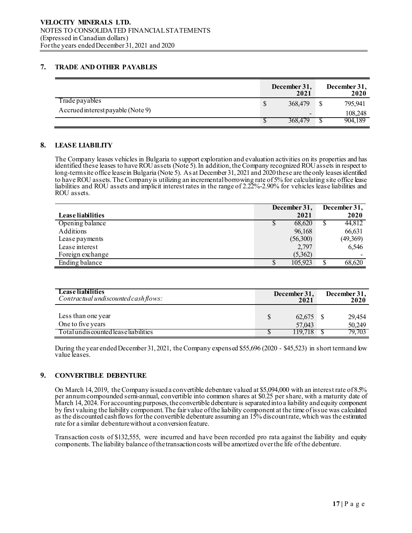## **7. TRADE AND OTHER PAYABLES**

|                                   |   | December 31,<br>2021     | December 31,<br>2020 |
|-----------------------------------|---|--------------------------|----------------------|
| Trade payables                    | S | 368,479                  | 795,941              |
| Accrued interest payable (Note 9) |   | $\overline{\phantom{a}}$ | 108,248              |
|                                   |   | 368,479                  | 904.189              |

## **8. LEASE LIABILITY**

The Company leases vehicles in Bulgaria to support exploration and evaluation activities on its properties and has identified these leases to have ROU assets (Note 5). In addition, the Company recognized ROU assets in respect to long-term site office lease in Bulgaria (Note 5). As at December 31, 2021 and 2020 these are the only leases identified to have ROU assets. The Companyis utilizing an incremental borrowing rate of 5% for calculating site office lease liabilities and ROU assets and implicit interest rates in the range of 2.22%-2.90% for vehicles lease liabilities and ROU assets.

|                   |   | December 31, |    | December 31, |
|-------------------|---|--------------|----|--------------|
| Lease liabilities |   | 2021         |    | 2020         |
| Opening balance   |   | 68,620       | ۵D | 44,812       |
| Additions         |   | 96,168       |    | 66,631       |
| Lease payments    |   | (56,300)     |    | (49,369)     |
| Lease interest    |   | 2,797        |    | 6,546        |
| Foreign exchange  |   | (5,362)      |    |              |
| Ending balance    | S | 105,923      |    | 68,620       |

| <b>Lease liabilities</b><br>Contractual undiscounted cash flows: | December 31,<br>2021 | December 31,<br>2020 |
|------------------------------------------------------------------|----------------------|----------------------|
| Less than one year<br>One to five years                          | 62,675<br>57,043     | 29,454<br>50,249     |
| Total und is counted lease liabilities                           | 19.718               | 79,703               |

During the year ended December 31, 2021, the Company expensed \$55,696 (2020 - \$45,523) in short term and low value leases.

## **9. CONVERTIBLE DEBENTURE**

On March 14, 2019, the Company issued a convertible debenture valued at \$5,094,000 with an interest rate of 8.5% per annum compounded semi-annual, convertible into common shares at \$0.25 per share, with a maturity date of March 14, 2024. For accounting purposes, the convertible debenture is separated into a liability and equity component by first valuing the liability component. The fair value of the liability component at the time of issue was calculated as the discounted cash flows for the convertible debenture assuming an 15% discount rate, which was the estimated rate for a similar debenture without a conversion feature.

Transaction costs of \$132,555, were incurred and have been recorded pro rata against the liability and equity components. The liability balance of the transaction costs will be amortized over the life of the debenture.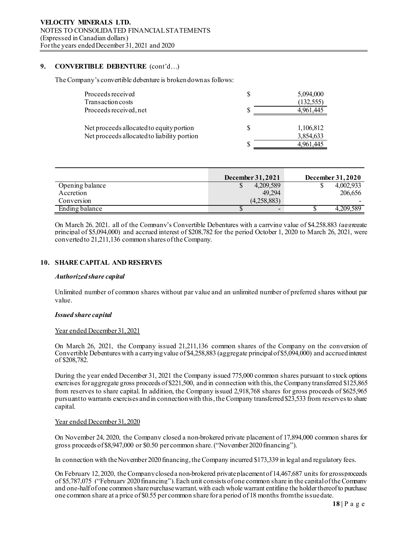## **9. CONVERTIBLE DEBENTURE** (cont'd…)

The Company's convertible debenture is broken down as follows:

| Proceeds received<br>Transaction costs                                                  | S | 5,094,000<br>(132, 555) |
|-----------------------------------------------------------------------------------------|---|-------------------------|
| Proceeds received, net                                                                  |   | 4,961,445               |
| Net proceeds allocated to equity portion<br>Net proceeds allocated to liability portion | S | 1,106,812<br>3,854,633  |
|                                                                                         | S | 4,961,445               |

|                 | December 31, 2021        | December 31, 2020 |
|-----------------|--------------------------|-------------------|
| Opening balance | 4,209,589                | 4,002,933<br>۰υ   |
| Accretion       | 49.294                   | 206,656           |
| Conversion      | (4,258,883)              |                   |
| Ending balance  | $\overline{\phantom{0}}$ | 4.209.589         |

On March 26, 2021, all of the Company's Convertible Debentures with a carrying value of \$4,258,883 (aggregate principal of \$5,094,000) and accrued interest of \$208,782 for the period October 1, 2020 to March 26, 2021, were converted to 21,211,136 common shares of the Company.

## **10. SHARE CAPITAL AND RESERVES**

#### *Authorized share capital*

Unlimited number of common shares without par value and an unlimited number of preferred shares without par value.

## *Issued share capital*

## Year ended December 31, 2021

On March 26, 2021, the Company issued 21,211,136 common shares of the Company on the conversion of Convertible Debentures with a carrying value of \$4,258,883 (aggregate principal of \$5,094,000) and accrued interest of \$208,782.

During the year ended December 31, 2021 the Company issued 775,000 common shares pursuant to stock options exercises for aggregate gross proceeds of \$221,500, and in connection with this, the Company transferred \$125,865 from reserves to share capital. In addition, the Company issued 2,918,768 shares for gross proceeds of \$625,965 pursuant to warrants exercises and in connection with this, the Company transferred \$23,533 from reserves to share capital.

## Year ended December 31, 2020

On November 24, 2020, the Company closed a non-brokered private placement of 17,894,000 common shares for gross proceeds of \$8,947,000 or \$0.50 per common share. ("November 2020 financing").

In connection with the November 2020 financing, the Company incurred \$173,339 in legal and regulatory fees.

On February 12, 2020, the Company closed a non-brokered private placement of 14,467,687 units for gross proceeds of \$5,787,075 ("February 2020 financing"). Each unit consists of one common share in the capital of the Company and one-half of one common share purchase warrant, with each whole warrant entitling the holder thereof to purchase one common share at a price of \$0.55 per common share for a period of 18 months from the issue date.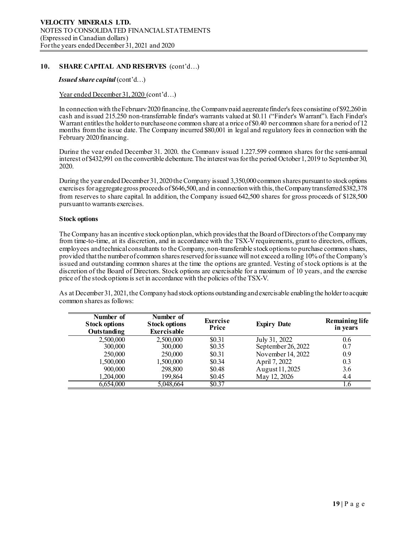## **10. SHARE CAPITAL AND RESERVES** (cont'd…)

## *Issued share capital* (cont'd…)

## Year ended December 31, 2020 (cont'd...)

In connection with the February 2020 financing, the Company paid aggregate finder's fees consisting of \$92,260 in cash and issued 215,250 non-transferrable finder's warrants valued at \$0.11 ("Finder's Warrant"). Each Finder's Warrant entitles the holder to purchase one common share at a price of \$0.40 per common share for a period of 12 months from the issue date. The Company incurred \$80,001 in legal and regulatory fees in connection with the February 2020 financing.

During the year ended December 31, 2020, the Company issued 1,227,599 common shares for the semi-annual interest of \$432,991 on the convertible debenture.The interest was for the period October 1, 2019 to September 30, 2020.

During the year endedDecember 31, 2020 the Company issued 3,350,000 common shares pursuant to stock options exercises for aggregate gross proceeds of \$646,500, and in connection with this, the Company transferred \$382,378 from reserves to share capital. In addition, the Company issued 642,500 shares for gross proceeds of \$128,500 pursuant to warrants exercises.

## **Stock options**

The Company has an incentive stock option plan, which provides that the Board of Directors of the Company may from time-to-time, at its discretion, and in accordance with the TSX-V requirements, grant to directors, officers, employees and technical consultants to the Company, non-transferable stock options to purchase common shares, provided that the number of common shares reserved for issuance will not exceed a rolling 10% of the Company's issued and outstanding common shares at the time the options are granted. Vesting of stock options is at the discretion of the Board of Directors. Stock options are exercisable for a maximum of 10 years, and the exercise price of the stock options is set in accordance with the policies of the TSX-V.

As at December 31, 2021, the Company had stock options outstanding and exercisable enabling the holder to acquire common shares as follows:

| Number of<br><b>Stock options</b><br><b>Outstanding</b> | Number of<br><b>Stock options</b><br><b>Exercisable</b> | <b>Exercise</b><br>Price | <b>Expiry Date</b> | <b>Remaining life</b><br>in years |
|---------------------------------------------------------|---------------------------------------------------------|--------------------------|--------------------|-----------------------------------|
| 2,500,000                                               | 2,500,000                                               | \$0.31                   | July 31, 2022      | 0.6                               |
| 300,000                                                 | 300,000                                                 | \$0.35                   | September 26, 2022 | 0.7                               |
| 250,000                                                 | 250,000                                                 | \$0.31                   | November 14, 2022  | 0.9                               |
| 1,500,000                                               | 1,500,000                                               | \$0.34                   | April 7, 2022      | 0.3                               |
| 900,000                                                 | 298,800                                                 | \$0.48                   | August 11, 2025    | 3.6                               |
| 1,204,000                                               | 199,864                                                 | \$0.45                   | May 12, 2026       | 4.4                               |
| 6,654,000                                               | 5,048,664                                               | \$0.37                   |                    | 1.6                               |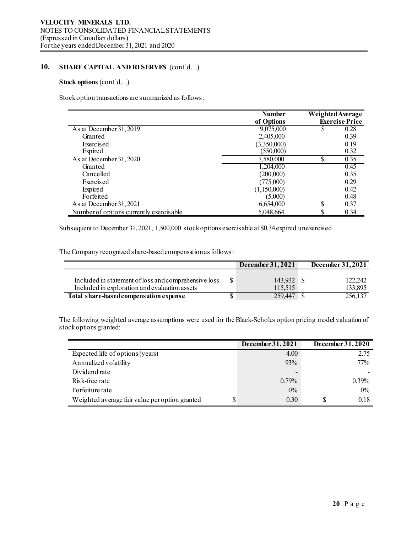## **10. SHARE CAPITAL AND RESERVES** (cont'd…)

## **Stock options** (cont'd…)

Stock option transactions are summarized as follows:

|                                         | <b>Number</b> |    | Weighted Average<br><b>Exercise Price</b> |
|-----------------------------------------|---------------|----|-------------------------------------------|
|                                         | of Options    |    |                                           |
| As at December 31, 2019                 | 9,075,000     | S  | 0.28                                      |
| Granted                                 | 2,405,000     |    | 0.39                                      |
| Exercised                               | (3,350,000)   |    | 0.19                                      |
| Expired                                 | (550,000)     |    | 0.32                                      |
| As at December 31, 2020                 | 7,580,000     | \$ | 0.35                                      |
| Granted                                 | 1,204,000     |    | 0.45                                      |
| Cancelled                               | (200,000)     |    | 0.35                                      |
| Exercised                               | (775,000)     |    | 0.29                                      |
| Expired                                 | (1,150,000)   |    | 0.42                                      |
| Forfeited                               | (5,000)       |    | 0.48                                      |
| As at December 31, 2021                 | 6,654,000     | \$ | 0.37                                      |
| Number of options currently exercisable | 5,048,664     | \$ | 0.34                                      |

Subsequent to December 31, 2021, 1,500,000 stock options exercisable at \$0.34 expired unexercised.

The Company recognized share-based compensation as follows:

|                                                                                                       | December 31, 2021  | December 31, 2021  |
|-------------------------------------------------------------------------------------------------------|--------------------|--------------------|
| Included in statement of loss and comprehensive loss<br>Included in exploration and evaluation assets | 143,932<br>115.515 | 122,242<br>133,895 |
| Total share-based compensation expense                                                                | 259 447            | 256,137            |

The following weighted average assumptions were used for the Black-Scholes option pricing model valuation of stock options granted:

|                                                | December 31, 2021        | December 31, 2020 |
|------------------------------------------------|--------------------------|-------------------|
| Expected life of options (years)               | 4.00                     | 2.75              |
| Annualized volatility                          | 93%                      | $77\%$            |
| Dividend rate                                  | $\overline{\phantom{0}}$ |                   |
| Risk-free rate                                 | $0.79\%$                 | $0.39\%$          |
| Forfeiture rate                                | $0\%$                    | $0\%$             |
| Weighted average fair value per option granted | 0.30                     | 0.18              |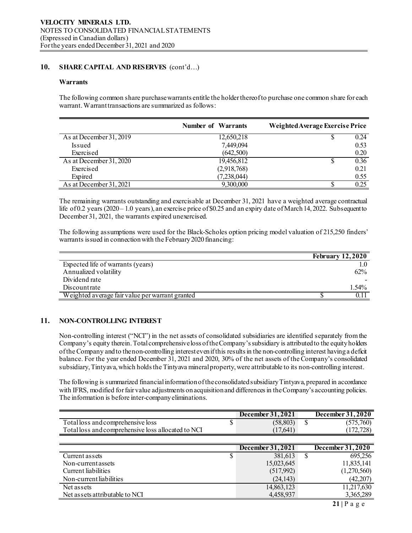## **10. SHARE CAPITAL AND RESERVES** (cont'd…)

## **Warrants**

The following common share purchase warrants entitle the holder thereof to purchase one common share for each warrant. Warrant transactions are summarized as follows:

|                         | <b>Number of Warrants</b> | Weighted Average Exercise Price |
|-------------------------|---------------------------|---------------------------------|
| As at December 31, 2019 | 12,650,218                | 0.24                            |
| Issued                  | 7,449,094                 | 0.53                            |
| Exercised               | (642,500)                 | 0.20                            |
| As at December 31, 2020 | 19,456,812                | 0.36                            |
| Exercised               | (2,918,768)               | 0.21                            |
| Expired                 | (7,238,044)               | 0.55                            |
| As at December 31, 2021 | 9,300,000                 | 0.25                            |

The remaining warrants outstanding and exercisable at December 31, 2021 have a weighted average contractual life of 0.2 years (2020 – 1.0 years), an exercise price of \$0.25 and an expiry date of March 14, 2022. Subsequent to December 31, 2021, the warrants expired unexercised.

The following assumptions were used for the Black-Scholes option pricing model valuation of 215,250 finders' warrants issued in connection with the February 2020 financing:

|                                                 | <b>February 12,2020</b> |
|-------------------------------------------------|-------------------------|
| Expected life of warrants (years)               |                         |
| Annualized volatility                           | $62\%$                  |
| Dividend rate                                   |                         |
| Discountrate                                    | $1.54\%$                |
| Weighted average fair value per warrant granted |                         |

## **11. NON-CONTROLLING INTEREST**

Non-controlling interest ("NCI") in the net assets of consolidated subsidiaries are identified separately from the Company's equity therein. Total comprehensive loss of the Company's subsidiary is attributed to the equity holders of the Company and to the non-controlling interest even if this results in the non-controlling interest having a deficit balance. For the year ended December 31, 2021 and 2020, 30% of the net assets of the Company's consolidated subsidiary,Tintyava, which holds the Tintyava mineral property, were attributable to its non-controlling interest.

The following is summarized financial information of the consolidated subsidiaryTintyava, prepared in accordance with IFRS, modified for fair value adjustments on acquisition and differences in the Company's accounting policies. The information is before inter-company eliminations.

|                                                    | December 31, 2021 |   | December 31, 2020 |
|----------------------------------------------------|-------------------|---|-------------------|
| Total loss and comprehensive loss                  | (58, 803)         | S | (575,760)         |
| Total loss and comprehensive loss allocated to NCI | (17, 641)         |   | (172, 728)        |
|                                                    |                   |   |                   |
|                                                    | December 31, 2021 |   | December 31, 2020 |
| Current assets                                     | 381,613           | S | 695,256           |
| Non-current assets                                 | 15,023,645        |   | 11,835,141        |
| Current liabilities                                | (517,992)         |   | (1,270,560)       |
| Non-current liabilities                            | (24, 143)         |   | (42, 207)         |
| Net assets                                         | 14,863,123        |   | 11,217,630        |
| Net assets attributable to NCI                     | 4,458,937         |   | 3,365,289         |
|                                                    |                   |   | ---               |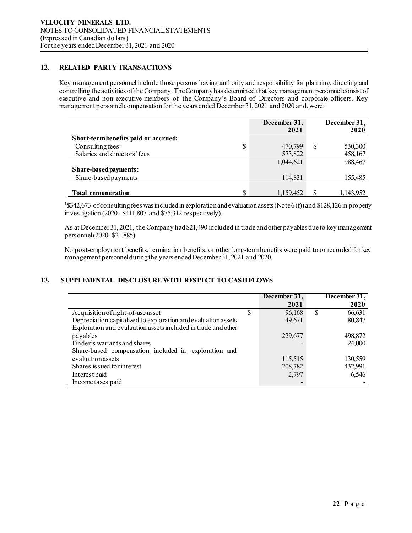## **12. RELATED PARTY TRANSACTIONS**

Key management personnel include those persons having authority and responsibility for planning, directing and controlling the activities of the Company. The Company has determined that key management personnel consist of executive and non-executive members of the Company's Board of Directors and corporate officers. Key management personnel compensation for the years ended December 31, 2021 and 2020 and, were:

|                                      | December 31,<br>2021 |          | December 31,<br>2020 |
|--------------------------------------|----------------------|----------|----------------------|
| Short-term benefits paid or accrued: |                      |          |                      |
| Consulting fees <sup>1</sup><br>\$   | 470,799              | <b>S</b> | 530,300              |
| Salaries and directors' fees         | 573,822              |          | 458,167              |
|                                      | 1,044,621            |          | 988,467              |
| Share-based payments:                |                      |          |                      |
| Share-based payments                 | 114,831              |          | 155,485              |
|                                      |                      |          |                      |
| \$<br><b>Total remuneration</b>      | 1,159,452            |          | 1,143,952            |

<sup>1</sup>\$342,673 of consulting fees was included in exploration and evaluation assets (Note 6(f)) and \$128,126 in property investigation (2020 - \$411,807 and \$75,312 respectively).

As at December 31, 2021, the Company had\$21,490 included in trade and other payables dueto key management personnel (2020- \$21,885).

No post-employment benefits, termination benefits, or other long-term benefits were paid to or recorded for key management personnel during the years ended December 31, 2021 and 2020.

## **13. SUPPLEMENTAL DISCLOSURE WITH RESPECT TO CASH FLOWS**

|                                                               | December 31, |  | December 31, |
|---------------------------------------------------------------|--------------|--|--------------|
|                                                               | 2021         |  | 2020         |
| Acquisition of right-of-use asset                             | 96,168       |  | 66,631       |
| Depreciation capitalized to exploration and evaluation assets | 49,671       |  | 80,847       |
| Exploration and evaluation assets included in trade and other |              |  |              |
| payables                                                      | 229,677      |  | 498,872      |
| Finder's warrants and shares                                  |              |  | 24,000       |
| Share-based compensation included in exploration and          |              |  |              |
| evaluation assets                                             | 115,515      |  | 130,559      |
| Shares is sued for interest                                   | 208,782      |  | 432,991      |
| Interest paid                                                 | 2,797        |  | 6,546        |
| Income taxes paid                                             |              |  |              |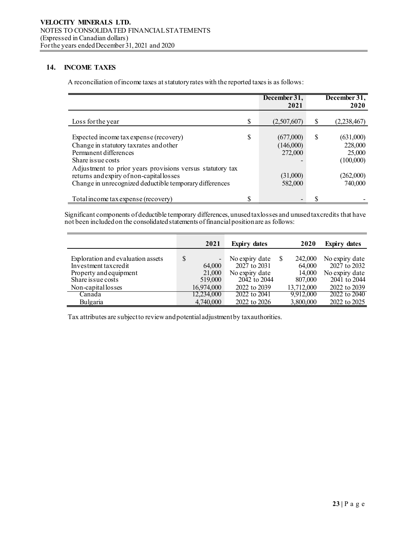## **14. INCOME TAXES**

A reconciliation of income taxes at statutory rates with the reported taxes is as follows:

|                                                                                                                                                                                                                                                                                                     |    | December 31,<br>2021                                     |    | December 31,<br>2020                                                |
|-----------------------------------------------------------------------------------------------------------------------------------------------------------------------------------------------------------------------------------------------------------------------------------------------------|----|----------------------------------------------------------|----|---------------------------------------------------------------------|
| Loss for the year                                                                                                                                                                                                                                                                                   | \$ | (2,507,607)                                              | S  | (2,238,467)                                                         |
| Expected income tax expense (recovery)<br>Change in statutory taxrates and other<br>Permanent differences<br>Share is sue costs<br>Adjustment to prior years provisions versus statutory tax<br>returns and expiry of non-capital losses<br>Change in unrecognized deductible temporary differences | S  | (677,000)<br>(146,000)<br>272,000<br>(31,000)<br>582,000 | \$ | (631,000)<br>228,000<br>25,000<br>(100,000)<br>(262,000)<br>740,000 |
| Total income tax expense (recovery)                                                                                                                                                                                                                                                                 | σ  |                                                          |    |                                                                     |

Significant components of deductible temporary differences, unused tax losses and unused tax credits that have not been included on the consolidated statements of financial position are as follows:

|                                                                                                                                 | 2021                                                                        | <b>Expiry dates</b>                                                              | 2020                                                 | <b>Expiry dates</b>                                                              |
|---------------------------------------------------------------------------------------------------------------------------------|-----------------------------------------------------------------------------|----------------------------------------------------------------------------------|------------------------------------------------------|----------------------------------------------------------------------------------|
| Exploration and evaluation assets<br>Investment taxcredit<br>Property and equipment<br>Share is sue costs<br>Non-capital losses | \$<br>$\overline{\phantom{a}}$<br>64,000<br>21,000<br>519,000<br>16,974,000 | No expiry date<br>2027 to 2031<br>No expiry date<br>2042 to 2044<br>2022 to 2039 | 242,000<br>64,000<br>14,000<br>807,000<br>13,712,000 | No expiry date<br>2027 to 2032<br>No expiry date<br>2041 to 2044<br>2022 to 2039 |
| Canada                                                                                                                          | 12,234,000                                                                  | 2022 to 2041                                                                     | 9,912,000                                            | 2022 to 2040                                                                     |
| Bulgaria                                                                                                                        | 4,740,000                                                                   | 2022 to 2026                                                                     | 3,800,000                                            | 2022 to 2025                                                                     |

Tax attributes are subject to review and potential adjustment by tax authorities.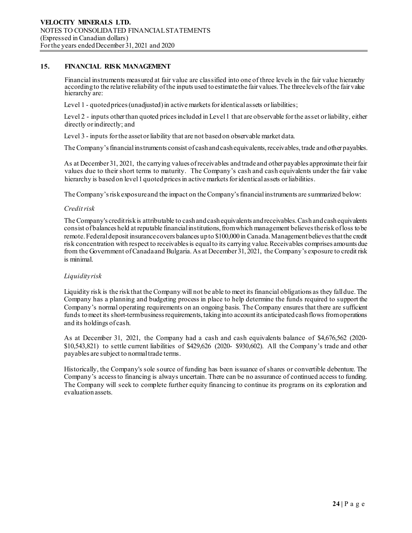## **15. FINANCIAL RISK MANAGEMENT**

Financial instruments measured at fair value are classified into one of three levels in the fair value hierarchy according to the relative reliability of the inputs used to estimate the fair values. The three levels of the fair value hierarchy are:

Level 1 - quoted prices (unadjusted) in active markets for identical assets or liabilities;

Level 2 - inputs other than quoted prices included in Level 1 that are observable for the asset or liability, either directly or indirectly; and

Level 3 - inputs for the asset or liability that are not based on observable market data.

The Company's financial instruments consist of cashand cash equivalents, receivables, trade and other payables.

As at December 31, 2021, the carrying values ofreceivables andtrade and other payables approximate their fair values due to their short terms to maturity. The Company's cash and cash equivalents under the fair value hierarchy is based on level 1 quoted prices in active markets for identical assets or liabilities.

The Company's risk exposure and the impact on the Company's financial instruments are summarized below:

## *Credit risk*

The Company's credit risk is attributable to cashand cash equivalents and receivables. Cash and cash equivalents consist of balances held at reputable financial institutions, from which management believes the risk of loss to be remote. Federal deposit insurance covers balances up to \$100,000 in Canada. Management believes that the credit risk concentration with respect to receivablesis equal to its carrying value. Receivables comprises amounts due from the Government of Canadaand Bulgaria. As at December 31, 2021, the Company's exposure to credit risk is minimal.

## *Liquidity risk*

Liquidity risk is the risk that the Company will not be able to meet its financial obligations as they fall due. The Company has a planning and budgeting process in place to help determine the funds required to support the Company's normal operating requirements on an ongoing basis. The Company ensures that there are sufficient funds to meet its short-term business requirements, taking into account its anticipated cash flows from operations and its holdings of cash.

As at December 31, 2021, the Company had a cash and cash equivalents balance of \$4,676,562 (2020- \$10,543,821) to settle current liabilities of \$429,626 (2020- \$930,602). All the Company's trade and other payables are subject to normal trade terms.

Historically, the Company's sole source of funding has been issuance of shares or convertible debenture. The Company's access to financing is always uncertain. There can be no assurance of continued access to funding. The Company will seek to complete further equity financing to continue its programs on its exploration and evaluation assets.